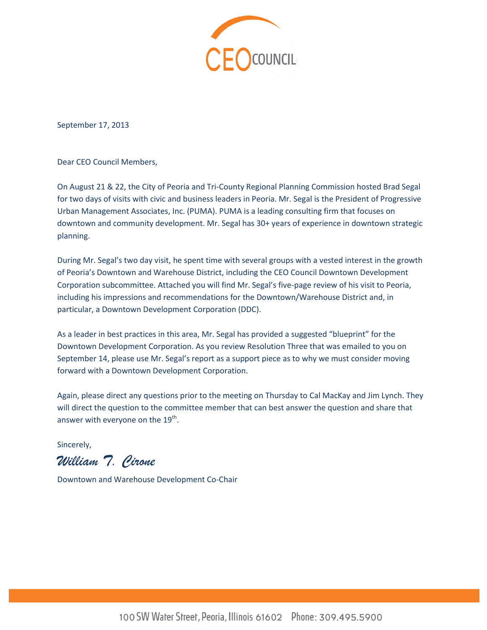

September 17, 2013

Dear CEO Council Members,

On August 21 & 22, the City of Peoria and Tri-County Regional Planning Commission hosted Brad Segal for two days of visits with civic and business leaders in Peoria. Mr. Segal is the President of Progressive Urban Management Associates, Inc. (PUMA). PUMA is a leading consulting firm that focuses on downtown and community development. Mr. Segal has 30+ years of experience in downtown strategic planning.

During Mr. Segal's two day visit, he spent time with several groups with a vested interest in the growth of Peoria's Downtown and Warehouse District, including the CEO Council Downtown Development Corporation subcommittee. Attached you will find Mr. Segal's five-page review of his visit to Peoria, including his impressions and recommendations for the Downtown/Warehouse District and, in particular, a Downtown Development Corporation (DDC).

As a leader in best practices in this area, Mr. Segal has provided a suggested "blueprint" for the Downtown Development Corporation. As you review Resolution Three that was emailed to you on September 14, please use Mr. Segal's report as a support piece as to why we must consider moving forward with a Downtown Development Corporation.

Again, please direct any questions prior to the meeting on Thursday to Cal MacKay and Jim Lynch. They will direct the question to the committee member that can best answer the question and share that answer with everyone on the  $19<sup>th</sup>$ .

Sincerely,

*William T. Cirone*

Downtown and Warehouse Development Co-Chair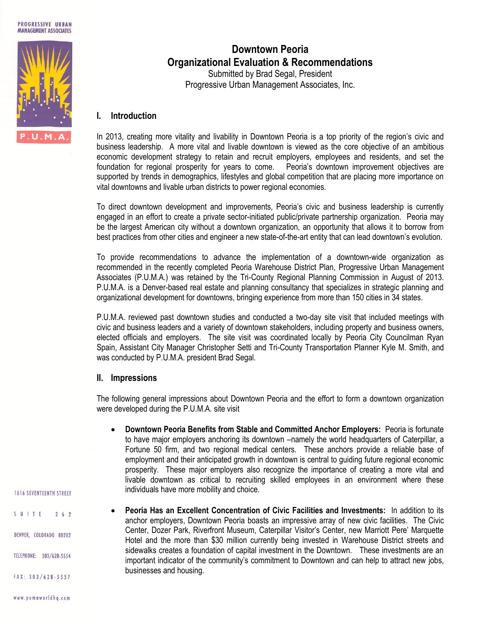

## **Downtown Peoria Organizational Evaluation & Recommendations** Submitted by Brad Segal, President Progressive Urban Management Associates, Inc.

## **I. Introduction**

In 2013, creating more vitality and livability in Downtown Peoria is a top priority of the region's civic and business leadership. A more vital and livable downtown is viewed as the core objective of an ambitious economic development strategy to retain and recruit employers, employees and residents, and set the foundation for regional prosperity for years to come. Peoria's downtown improvement objectives are supported by trends in demographics, lifestyles and global competition that are placing more importance on vital downtowns and livable urban districts to power regional economies.

To direct downtown development and improvements, Peoria's civic and business leadership is currently engaged in an effort to create a private sector-initiated public/private partnership organization. Peoria may be the largest American city without a downtown organization, an opportunity that allows it to borrow from best practices from other cities and engineer a new state-of-the-art entity that can lead downtown's evolution.

To provide recommendations to advance the implementation of a downtown-wide organization as recommended in the recently completed Peoria Warehouse District Plan, Progressive Urban Management Associates (P.U.M.A.) was retained by the Tri-County Regional Planning Commission in August of 2013. P.U.M.A. is a Denver-based real estate and planning consultancy that specializes in strategic planning and organizational development for downtowns, bringing experience from more than 150 cities in 34 states.

P.U.M.A. reviewed past downtown studies and conducted a two-day site visit that included meetings with civic and business leaders and a variety of downtown stakeholders, including property and business owners, elected officials and employers. The site visit was coordinated locally by Peoria City Councilman Ryan Spain, Assistant City Manager Christopher Setti and Tri-County Transportation Planner Kyle M. Smith, and was conducted by P.U.M.A. president Brad Segal.

## **II. Impressions**

The following general impressions about Downtown Peoria and the effort to form a downtown organization were developed during the P.U.M.A. site visit

- **Downtown Peoria Benefits from Stable and Committed Anchor Employers:** Peoria is fortunate to have major employers anchoring its downtown –namely the world headquarters of Caterpillar, a Fortune 50 firm, and two regional medical centers. These anchors provide a reliable base of employment and their anticipated growth in downtown is central to guiding future regional economic prosperity. These major employers also recognize the importance of creating a more vital and livable downtown as critical to recruiting skilled employees in an environment where these individuals have more mobility and choice.
- **Peoria Has an Excellent Concentration of Civic Facilities and Investments:** In addition to its anchor employers, Downtown Peoria boasts an impressive array of new civic facilities. The Civic Center, Dozer Park, Riverfront Museum, Caterpillar Visitor's Center, new Marriott Pere' Marquette Hotel and the more than \$30 million currently being invested in Warehouse District streets and sidewalks creates a foundation of capital investment in the Downtown. These investments are an important indicator of the community's commitment to Downtown and can help to attract new jobs, businesses and housing.

**1616 SEVENTEENTH STREET** 

SUITE  $2\quad 6\quad 2$ 

DENVER, COLORADO 80202

TELEPHONE: 303/628-5554

FAX: 303/628-5557

www.pumaworldhq.com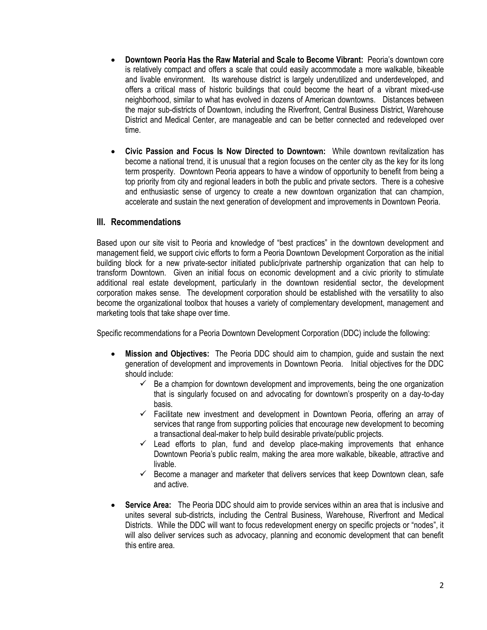- **Downtown Peoria Has the Raw Material and Scale to Become Vibrant:** Peoria's downtown core is relatively compact and offers a scale that could easily accommodate a more walkable, bikeable and livable environment. Its warehouse district is largely underutilized and underdeveloped, and offers a critical mass of historic buildings that could become the heart of a vibrant mixed-use neighborhood, similar to what has evolved in dozens of American downtowns. Distances between the major sub-districts of Downtown, including the Riverfront, Central Business District, Warehouse District and Medical Center, are manageable and can be better connected and redeveloped over time.
- **Civic Passion and Focus Is Now Directed to Downtown:** While downtown revitalization has become a national trend, it is unusual that a region focuses on the center city as the key for its long term prosperity. Downtown Peoria appears to have a window of opportunity to benefit from being a top priority from city and regional leaders in both the public and private sectors. There is a cohesive and enthusiastic sense of urgency to create a new downtown organization that can champion, accelerate and sustain the next generation of development and improvements in Downtown Peoria.

## **III. Recommendations**

Based upon our site visit to Peoria and knowledge of "best practices" in the downtown development and management field, we support civic efforts to form a Peoria Downtown Development Corporation as the initial building block for a new private-sector initiated public/private partnership organization that can help to transform Downtown. Given an initial focus on economic development and a civic priority to stimulate additional real estate development, particularly in the downtown residential sector, the development corporation makes sense. The development corporation should be established with the versatility to also become the organizational toolbox that houses a variety of complementary development, management and marketing tools that take shape over time.

Specific recommendations for a Peoria Downtown Development Corporation (DDC) include the following:

- **Mission and Objectives:** The Peoria DDC should aim to champion, guide and sustain the next generation of development and improvements in Downtown Peoria. Initial objectives for the DDC should include:
	- $\checkmark$  Be a champion for downtown development and improvements, being the one organization that is singularly focused on and advocating for downtown's prosperity on a day-to-day basis.
	- $\checkmark$  Facilitate new investment and development in Downtown Peoria, offering an array of services that range from supporting policies that encourage new development to becoming a transactional deal-maker to help build desirable private/public projects.
	- $\checkmark$  Lead efforts to plan, fund and develop place-making improvements that enhance Downtown Peoria's public realm, making the area more walkable, bikeable, attractive and livable.
	- $\checkmark$  Become a manager and marketer that delivers services that keep Downtown clean, safe and active.
- **Service Area:** The Peoria DDC should aim to provide services within an area that is inclusive and unites several sub-districts, including the Central Business, Warehouse, Riverfront and Medical Districts. While the DDC will want to focus redevelopment energy on specific projects or "nodes", it will also deliver services such as advocacy, planning and economic development that can benefit this entire area.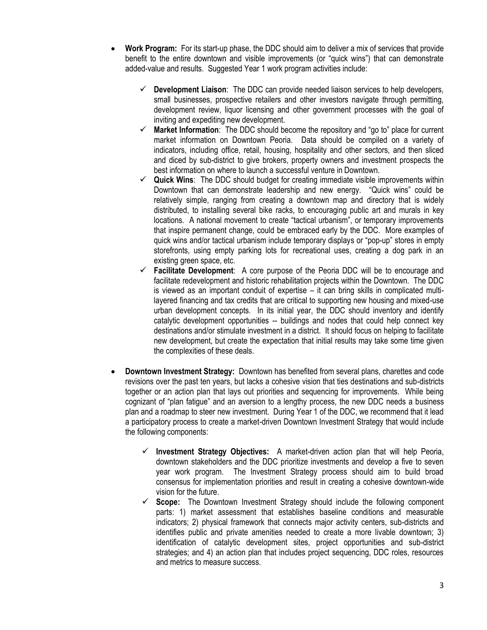- **Work Program:** For its start-up phase, the DDC should aim to deliver a mix of services that provide benefit to the entire downtown and visible improvements (or "quick wins") that can demonstrate added-value and results. Suggested Year 1 work program activities include:
	- **Development Liaison**: The DDC can provide needed liaison services to help developers, small businesses, prospective retailers and other investors navigate through permitting, development review, liquor licensing and other government processes with the goal of inviting and expediting new development.
	- **Market Information**: The DDC should become the repository and "go to" place for current market information on Downtown Peoria. Data should be compiled on a variety of indicators, including office, retail, housing, hospitality and other sectors, and then sliced and diced by sub-district to give brokers, property owners and investment prospects the best information on where to launch a successful venture in Downtown.
	- **Quick Wins**: The DDC should budget for creating immediate visible improvements within Downtown that can demonstrate leadership and new energy. "Quick wins" could be relatively simple, ranging from creating a downtown map and directory that is widely distributed, to installing several bike racks, to encouraging public art and murals in key locations. A national movement to create "tactical urbanism", or temporary improvements that inspire permanent change, could be embraced early by the DDC. More examples of quick wins and/or tactical urbanism include temporary displays or "pop-up" stores in empty storefronts, using empty parking lots for recreational uses, creating a dog park in an existing green space, etc.
	- **Facilitate Development**: A core purpose of the Peoria DDC will be to encourage and facilitate redevelopment and historic rehabilitation projects within the Downtown. The DDC is viewed as an important conduit of expertise  $-$  it can bring skills in complicated multilayered financing and tax credits that are critical to supporting new housing and mixed-use urban development concepts. In its initial year, the DDC should inventory and identify catalytic development opportunities -- buildings and nodes that could help connect key destinations and/or stimulate investment in a district. It should focus on helping to facilitate new development, but create the expectation that initial results may take some time given the complexities of these deals.
- **Downtown Investment Strategy:** Downtown has benefited from several plans, charettes and code revisions over the past ten years, but lacks a cohesive vision that ties destinations and sub-districts together or an action plan that lays out priorities and sequencing for improvements. While being cognizant of "plan fatigue" and an aversion to a lengthy process, the new DDC needs a business plan and a roadmap to steer new investment. During Year 1 of the DDC, we recommend that it lead a participatory process to create a market-driven Downtown Investment Strategy that would include the following components:
	- **Investment Strategy Objectives:** A market-driven action plan that will help Peoria, downtown stakeholders and the DDC prioritize investments and develop a five to seven year work program. The Investment Strategy process should aim to build broad consensus for implementation priorities and result in creating a cohesive downtown-wide vision for the future.
	- **Scope:** The Downtown Investment Strategy should include the following component parts: 1) market assessment that establishes baseline conditions and measurable indicators; 2) physical framework that connects major activity centers, sub-districts and identifies public and private amenities needed to create a more livable downtown; 3) identification of catalytic development sites, project opportunities and sub-district strategies; and 4) an action plan that includes project sequencing, DDC roles, resources and metrics to measure success.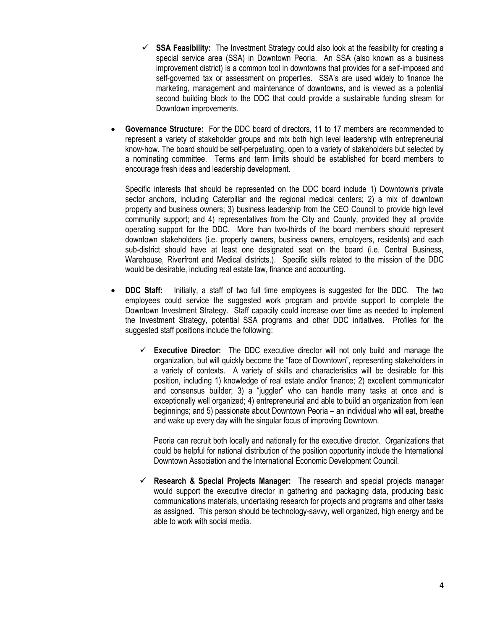- **SSA Feasibility:** The Investment Strategy could also look at the feasibility for creating a special service area (SSA) in Downtown Peoria. An SSA (also known as a business improvement district) is a common tool in downtowns that provides for a self-imposed and self-governed tax or assessment on properties. SSA's are used widely to finance the marketing, management and maintenance of downtowns, and is viewed as a potential second building block to the DDC that could provide a sustainable funding stream for Downtown improvements.
- **Governance Structure:** For the DDC board of directors, 11 to 17 members are recommended to represent a variety of stakeholder groups and mix both high level leadership with entrepreneurial know-how. The board should be self-perpetuating, open to a variety of stakeholders but selected by a nominating committee. Terms and term limits should be established for board members to encourage fresh ideas and leadership development.

Specific interests that should be represented on the DDC board include 1) Downtown's private sector anchors, including Caterpillar and the regional medical centers; 2) a mix of downtown property and business owners; 3) business leadership from the CEO Council to provide high level community support; and 4) representatives from the City and County, provided they all provide operating support for the DDC. More than two-thirds of the board members should represent downtown stakeholders (i.e. property owners, business owners, employers, residents) and each sub-district should have at least one designated seat on the board (i.e. Central Business, Warehouse, Riverfront and Medical districts.). Specific skills related to the mission of the DDC would be desirable, including real estate law, finance and accounting.

- **DDC Staff:** Initially, a staff of two full time employees is suggested for the DDC. The two employees could service the suggested work program and provide support to complete the Downtown Investment Strategy. Staff capacity could increase over time as needed to implement the Investment Strategy, potential SSA programs and other DDC initiatives. Profiles for the suggested staff positions include the following:
	- **Executive Director:** The DDC executive director will not only build and manage the organization, but will quickly become the "face of Downtown", representing stakeholders in a variety of contexts. A variety of skills and characteristics will be desirable for this position, including 1) knowledge of real estate and/or finance; 2) excellent communicator and consensus builder; 3) a "juggler" who can handle many tasks at once and is exceptionally well organized; 4) entrepreneurial and able to build an organization from lean beginnings; and 5) passionate about Downtown Peoria – an individual who will eat, breathe and wake up every day with the singular focus of improving Downtown.

Peoria can recruit both locally and nationally for the executive director. Organizations that could be helpful for national distribution of the position opportunity include the International Downtown Association and the International Economic Development Council.

 **Research & Special Projects Manager:** The research and special projects manager would support the executive director in gathering and packaging data, producing basic communications materials, undertaking research for projects and programs and other tasks as assigned. This person should be technology-savvy, well organized, high energy and be able to work with social media.